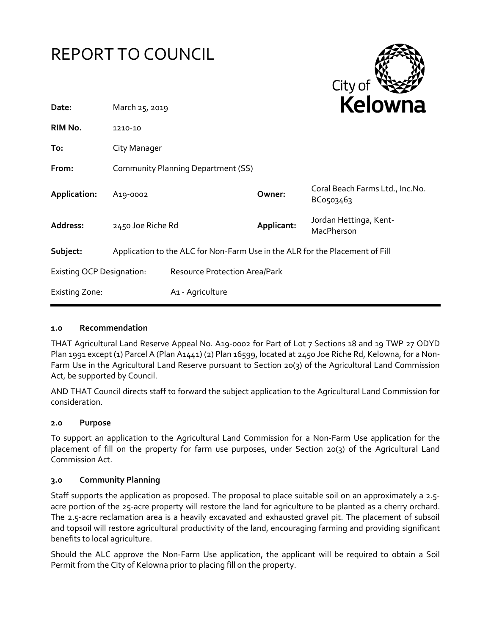



| Date:                            | March 25, 2019                                                               |                               |            | <b>NEIUWII</b> d                             |  |  |
|----------------------------------|------------------------------------------------------------------------------|-------------------------------|------------|----------------------------------------------|--|--|
| RIM No.                          | 1210-10                                                                      |                               |            |                                              |  |  |
| To:                              | City Manager                                                                 |                               |            |                                              |  |  |
| From:                            | Community Planning Department (SS)                                           |                               |            |                                              |  |  |
| Application:                     | A <sub>19</sub> -0002                                                        |                               | Owner:     | Coral Beach Farms Ltd., Inc.No.<br>ВСо503463 |  |  |
| Address:                         | 2450 Joe Riche Rd                                                            |                               | Applicant: | Jordan Hettinga, Kent-<br>MacPherson         |  |  |
| Subject:                         | Application to the ALC for Non-Farm Use in the ALR for the Placement of Fill |                               |            |                                              |  |  |
| <b>Existing OCP Designation:</b> |                                                                              | Resource Protection Area/Park |            |                                              |  |  |
| <b>Existing Zone:</b>            |                                                                              | A1 - Agriculture              |            |                                              |  |  |

### **1.0 Recommendation**

THAT Agricultural Land Reserve Appeal No. A19-0002 for Part of Lot 7 Sections 18 and 19 TWP 27 ODYD Plan 1991 except (1) Parcel A (Plan A1441) (2) Plan 16599, located at 2450 Joe Riche Rd, Kelowna, for a Non-Farm Use in the Agricultural Land Reserve pursuant to Section 20(3) of the Agricultural Land Commission Act, be supported by Council.

AND THAT Council directs staff to forward the subject application to the Agricultural Land Commission for consideration.

### **2.0 Purpose**

To support an application to the Agricultural Land Commission for a Non-Farm Use application for the placement of fill on the property for farm use purposes, under Section 20(3) of the Agricultural Land Commission Act.

### **3.0 Community Planning**

Staff supports the application as proposed. The proposal to place suitable soil on an approximately a 2.5 acre portion of the 25-acre property will restore the land for agriculture to be planted as a cherry orchard. The 2.5-acre reclamation area is a heavily excavated and exhausted gravel pit. The placement of subsoil and topsoil will restore agricultural productivity of the land, encouraging farming and providing significant benefits to local agriculture.

Should the ALC approve the Non-Farm Use application, the applicant will be required to obtain a Soil Permit from the City of Kelowna prior to placing fill on the property.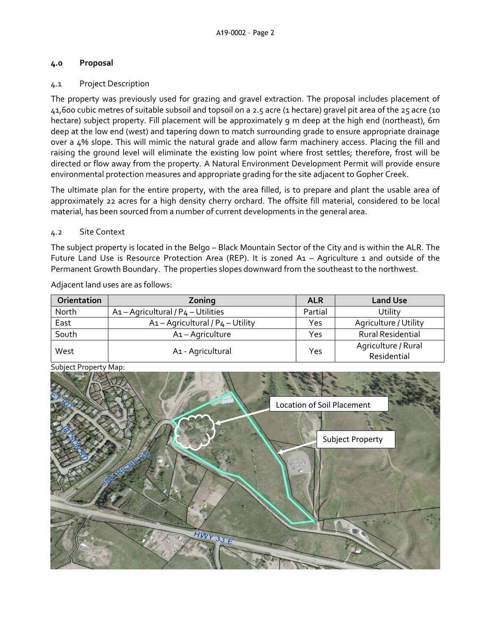## **4.0 Proposal**

# 4.1 Project Description

The property was previously used for grazing and gravel extraction. The proposal includes placement of 41,600 cubic metres of suitable subsoil and topsoil on a 2.5 acre (1 hectare) gravel pit area of the 25 acre (10 hectare) subject property. Fill placement will be approximately 9 m deep at the high end (northeast), 6m deep at the low end (west) and tapering down to match surrounding grade to ensure appropriate drainage over a 4% slope. This will mimic the natural grade and allow farm machinery access. Placing the fill and raising the ground level will eliminate the existing low point where frost settles; therefore, frost will be directed or flow away from the property. A Natural Environment Development Permit will provide ensure environmental protection measures and appropriate grading for the site adjacent to Gopher Creek.

The ultimate plan for the entire property, with the area filled, is to prepare and plant the usable area of approximately 22 acres for a high density cherry orchard. The offsite fill material, considered to be local material, has been sourced from a number of current developments in the general area.

# 4.2 Site Context

The subject property is located in the Belgo – Black Mountain Sector of the City and is within the ALR. The Future Land Use is Resource Protection Area (REP). It is zoned A1 – Agriculture 1 and outside of the Permanent Growth Boundary. The properties slopes downward from the southeast to the northwest.

Adjacent land uses are as follows:

| <b>Orientation</b> | Zoning                                            | <b>ALR</b> | <b>Land Use</b>          |
|--------------------|---------------------------------------------------|------------|--------------------------|
| North              | $A_1$ - Agricultural / P <sub>4</sub> - Utilities | Partial    | Utility                  |
| East               | A1 - Agricultural / P4 - Utility                  | Yes        | Agriculture / Utility    |
| South              | A1-Agriculture                                    | Yes        | <b>Rural Residential</b> |
| West               |                                                   | Yes        | Agriculture / Rural      |
|                    | A1 - Agricultural                                 |            | Residential              |



Subject Property Map: